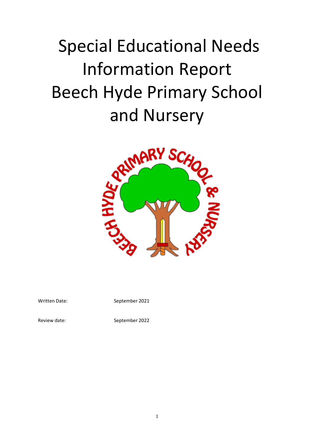# Special Educational Needs Information Report Beech Hyde Primary School



Written Date: September 2021

Review date: September 2022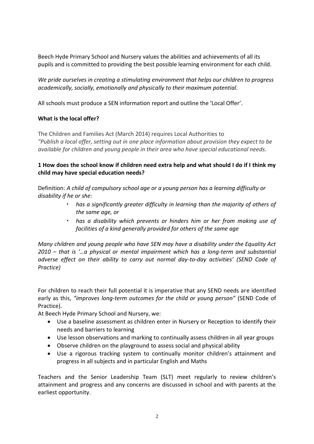Beech Hyde Primary School and Nursery values the abilities and achievements of all its pupils and is committed to providing the best possible learning environment for each child.

*We pride ourselves in creating a stimulating environment that helps our children to progress academically, socially, emotionally and physically to their maximum potential.*

All schools must produce a SEN information report and outline the 'Local Offer'.

## **What is the local offer?**

The Children and Families Act (March 2014) requires Local Authorities to *"Publish a local offer, setting out in one place information about provision they expect to be available for children and young people in their area who have special educational needs.*

# **1 How does the school know if children need extra help and what should I do if I think my child may have special education needs?**

Definition: *A child of compulsory school age or a young person has a learning difficulty or disability if he or she:*

- *has a significantly greater difficulty in learning than the majority of others of the same age, or*
- *has a disability which prevents or hinders him or her from making use of facilities of a kind generally provided for others of the same age*

*Many children and young people who have SEN may have a disability under the Equality Act 2010 – that is '…a physical or mental impairment which has a long-term and substantial adverse effect on their ability to carry out normal day-to-day activities' (SEND Code of Practice)*

For children to reach their full potential it is imperative that any SEND needs are identified early as this, *"improves long-term outcomes for the child or young person"* (SEND Code of Practice).

At Beech Hyde Primary School and Nursery, we:

- Use a baseline assessment as children enter in Nursery or Reception to identify their needs and barriers to learning
- Use lesson observations and marking to continually assess children in all year groups
- Observe children on the playground to assess social and physical ability
- Use a rigorous tracking system to continually monitor children's attainment and progress in all subjects and in particular English and Maths

Teachers and the Senior Leadership Team (SLT) meet regularly to review children's attainment and progress and any concerns are discussed in school and with parents at the earliest opportunity.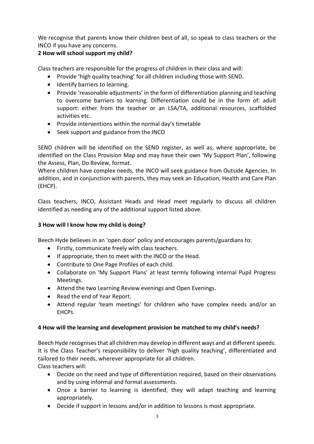We recognise that parents know their children best of all, so speak to class teachers or the INCO if you have any concerns.

# **2 How will school support my child?**

Class teachers are responsible for the progress of children in their class and will:

- Provide 'high quality teaching' for all children including those with SEND.
- Identify barriers to learning.
- Provide 'reasonable adjustments' in the form of differentiation planning and teaching to overcome barriers to learning. Differentiation could be in the form of: adult support: either from the teacher or an LSA/TA, additional resources, scaffolded activities etc.
- Provide interventions within the normal day's timetable
- Seek support and guidance from the INCO

SEND children will be identified on the SEND register, as well as, where appropriate, be identified on the Class Provision Map and may have their own 'My Support Plan', following the Assess, Plan, Do Review, format.

Where children have complex needs, the INCO will seek guidance from Outside Agencies. In addition, and in conjunction with parents, they may seek an Education, Health and Care Plan (EHCP).

Class teachers, INCO, Assistant Heads and Head meet regularly to discuss all children identified as needing any of the additional support listed above.

## **3 How will I know how my child is doing?**

Beech Hyde believes in an 'open door' policy and encourages parents/guardians to:

- Firstly, communicate freely with class teachers.
- If appropriate, then to meet with the INCO or the Head.
- Contribute to One Page Profiles of each child.
- Collaborate on 'My Support Plans' at least termly following internal Pupil Progress Meetings.
- Attend the two Learning Review evenings and Open Evenings.
- Read the end of Year Report.
- Attend regular 'team meetings' for children who have complex needs and/or an EHCPs.

## **4 How will the learning and development provision be matched to my child's needs?**

Beech Hyde recognises that all children may develop in different ways and at different speeds. It is the Class Teacher's responsibility to deliver 'high quality teaching', differentiated and tailored to their needs, wherever appropriate for all children. Class teachers will:

• Decide on the need and type of differentiation required, based on their observations and by using informal and formal assessments.

- Once a barrier to learning is identified, they will adapt teaching and learning appropriately.
- Decide if support in lessons and/or in addition to lessons is most appropriate.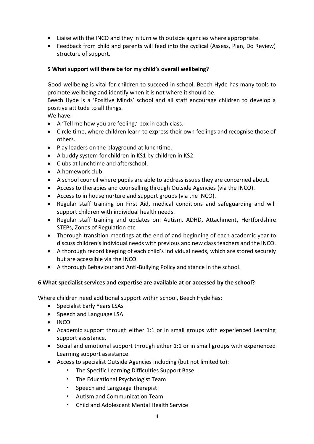- Liaise with the INCO and they in turn with outside agencies where appropriate.
- Feedback from child and parents will feed into the cyclical (Assess, Plan, Do Review) structure of support.

#### **5 What support will there be for my child's overall wellbeing?**

Good wellbeing is vital for children to succeed in school. Beech Hyde has many tools to promote wellbeing and identify when it is not where it should be.

Beech Hyde is a 'Positive Minds' school and all staff encourage children to develop a positive attitude to all things.

We have:

- A 'Tell me how you are feeling,' box in each class.
- Circle time, where children learn to express their own feelings and recognise those of others.
- Play leaders on the playground at lunchtime.
- A buddy system for children in KS1 by children in KS2
- Clubs at lunchtime and afterschool.
- A homework club.
- A school council where pupils are able to address issues they are concerned about.
- Access to therapies and counselling through Outside Agencies (via the INCO).
- Access to in house nurture and support groups (via the INCO).
- Regular staff training on First Aid, medical conditions and safeguarding and will support children with individual health needs.
- Regular staff training and updates on: Autism, ADHD, Attachment, Hertfordshire STEPs, Zones of Regulation etc.
- Thorough transition meetings at the end of and beginning of each academic year to discuss children's individual needs with previous and new class teachers and the INCO.
- A thorough record keeping of each child's individual needs, which are stored securely but are accessible via the INCO.
- A thorough Behaviour and Anti-Bullying Policy and stance in the school.

## **6 What specialist services and expertise are available at or accessed by the school?**

Where children need additional support within school, Beech Hyde has:

- Specialist Early Years LSAs
- Speech and Language LSA
- INCO
- Academic support through either 1:1 or in small groups with experienced Learning support assistance.
- Social and emotional support through either 1:1 or in small groups with experienced Learning support assistance.
- Access to specialist Outside Agencies including (but not limited to):
	- The Specific Learning Difficulties Support Base
	- The Educational Psychologist Team
	- Speech and Language Therapist
	- Autism and Communication Team
	- Child and Adolescent Mental Health Service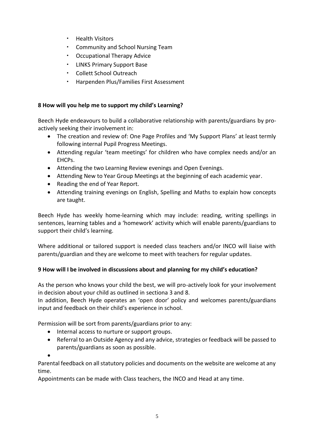- Health Visitors
- Community and School Nursing Team
- Occupational Therapy Advice
- LINKS Primary Support Base
- Collett School Outreach
- Harpenden Plus/Families First Assessment

#### **8 How will you help me to support my child's Learning?**

Beech Hyde endeavours to build a collaborative relationship with parents/guardians by proactively seeking their involvement in:

- The creation and review of: One Page Profiles and 'My Support Plans' at least termly following internal Pupil Progress Meetings.
- Attending regular 'team meetings' for children who have complex needs and/or an EHCPs.
- Attending the two Learning Review evenings and Open Evenings.
- Attending New to Year Group Meetings at the beginning of each academic year.
- Reading the end of Year Report.
- Attending training evenings on English, Spelling and Maths to explain how concepts are taught.

Beech Hyde has weekly home-learning which may include: reading, writing spellings in sentences, learning tables and a 'homework' activity which will enable parents/guardians to support their child's learning.

Where additional or tailored support is needed class teachers and/or INCO will liaise with parents/guardian and they are welcome to meet with teachers for regular updates.

## **9 How will I be involved in discussions about and planning for my child's education?**

As the person who knows your child the best, we will pro-actively look for your involvement in decision about your child as outlined in sectiona 3 and 8.

In addition, Beech Hyde operates an 'open door' policy and welcomes parents/guardians input and feedback on their child's experience in school.

Permission will be sort from parents/guardians prior to any:

- Internal access to nurture or support groups.
- Referral to an Outside Agency and any advice, strategies or feedback will be passed to parents/guardians as soon as possible.

•

Parental feedback on all statutory policies and documents on the website are welcome at any time.

Appointments can be made with Class teachers, the INCO and Head at any time.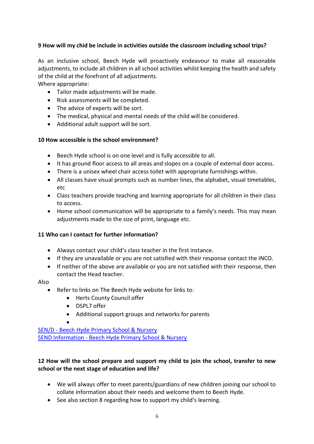# **9 How will my chid be include in activities outside the classroom including school trips?**

As an inclusive school, Beech Hyde will proactively endeavour to make all reasonable adjustments, to include all children in all school activities whilst keeping the health and safety of the child at the forefront of all adjustments.

Where appropriate:

- Tailor made adjustments will be made.
- Risk assessments will be completed.
- The advice of experts will be sort.
- The medical, physical and mental needs of the child will be considered.
- Additional adult support will be sort.

#### **10 How accessible is the school environment?**

- Beech Hyde school is on one level and is fully accessible to all.
- It has ground floor access to all areas and slopes on a couple of external door access.
- There is a unisex wheel chair access toilet with appropriate furnishings within.
- All classes have visual prompts such as number lines, the alphabet, visual timetables, etc
- Class teachers provide teaching and learning appropriate for all children in their class to access.
- Home school communication will be appropriate to a family's needs. This may mean adjustments made to the size of print, language etc.

## **11 Who can I contact for further information?**

- Always contact your child's class teacher in the first instance.
- If they are unavailable or you are not satisfied with their response contact the INCO.
- If neither of the above are available or you are not satisfied with their response, then contact the Head teacher.

#### Also

- Refer to links on The Beech Hyde website for links to:
	- Herts County Council offer
	- DSPL7 offer

•

• Additional support groups and networks for parents

SEN/D - [Beech Hyde Primary School & Nursery](https://www.beechhyde.herts.sch.uk/page/?title=SEN%2FD&pid=48) SEND Information - [Beech Hyde Primary School & Nursery](https://www.beechhyde.herts.sch.uk/page/?title=SEND+Information&pid=90)

# **12 How will the school prepare and support my child to join the school, transfer to new school or the next stage of education and life?**

- We will always offer to meet parents/guardians of new children joining our school to collate information about their needs and welcome them to Beech Hyde.
- See also section 8 regarding how to support my child's learning.